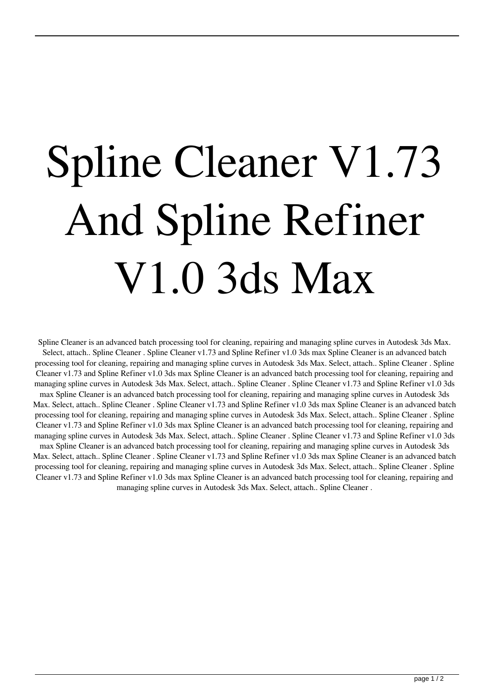## Spline Cleaner V1.73 And Spline Refiner V1.0 3ds Max

Spline Cleaner is an advanced batch processing tool for cleaning, repairing and managing spline curves in Autodesk 3ds Max. Select, attach.. Spline Cleaner . Spline Cleaner v1.73 and Spline Refiner v1.0 3ds max Spline Cleaner is an advanced batch processing tool for cleaning, repairing and managing spline curves in Autodesk 3ds Max. Select, attach.. Spline Cleaner . Spline Cleaner v1.73 and Spline Refiner v1.0 3ds max Spline Cleaner is an advanced batch processing tool for cleaning, repairing and managing spline curves in Autodesk 3ds Max. Select, attach.. Spline Cleaner . Spline Cleaner v1.73 and Spline Refiner v1.0 3ds max Spline Cleaner is an advanced batch processing tool for cleaning, repairing and managing spline curves in Autodesk 3ds Max. Select, attach.. Spline Cleaner . Spline Cleaner v1.73 and Spline Refiner v1.0 3ds max Spline Cleaner is an advanced batch processing tool for cleaning, repairing and managing spline curves in Autodesk 3ds Max. Select, attach.. Spline Cleaner . Spline Cleaner v1.73 and Spline Refiner v1.0 3ds max Spline Cleaner is an advanced batch processing tool for cleaning, repairing and managing spline curves in Autodesk 3ds Max. Select, attach.. Spline Cleaner . Spline Cleaner v1.73 and Spline Refiner v1.0 3ds max Spline Cleaner is an advanced batch processing tool for cleaning, repairing and managing spline curves in Autodesk 3ds Max. Select, attach.. Spline Cleaner . Spline Cleaner v1.73 and Spline Refiner v1.0 3ds max Spline Cleaner is an advanced batch processing tool for cleaning, repairing and managing spline curves in Autodesk 3ds Max. Select, attach.. Spline Cleaner . Spline Cleaner v1.73 and Spline Refiner v1.0 3ds max Spline Cleaner is an advanced batch processing tool for cleaning, repairing and managing spline curves in Autodesk 3ds Max. Select, attach.. Spline Cleaner .